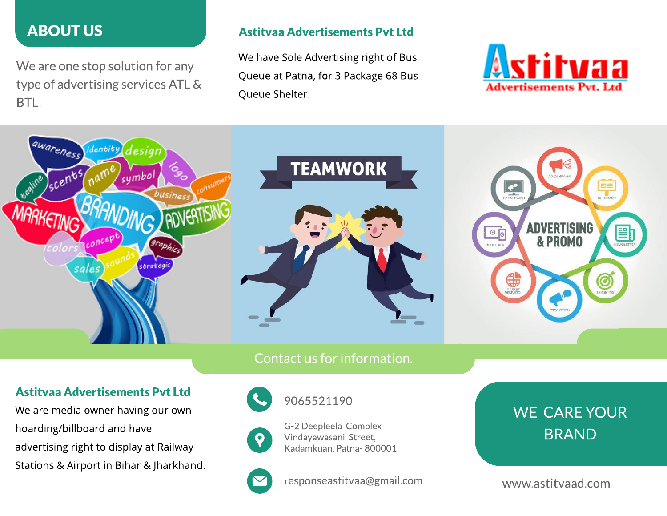# ABOUT US

We are one stop solution for any type of advertising servicesATL& BTL.

#### Astitvaa Advertisements Pvt Ltd

We have Sole Advertising right of Bus Queue at Patna, for 3 Package 68 Bus Queue Shelter.





### Contact us for information.

#### Astitvaa Advertisements Pvt Ltd

We are media owner having our own hoarding/billboard and have advertising right to display at Railway Stations & Airport in Bihar & Jharkhand.



9065521190



G-2 Deepleela Complex Vindayawasani Street, Kadamkuan, Patna- 800001



responseastitvaa@gmail.com

# WE CARE YOUR BRAND

www.astitvaad.com